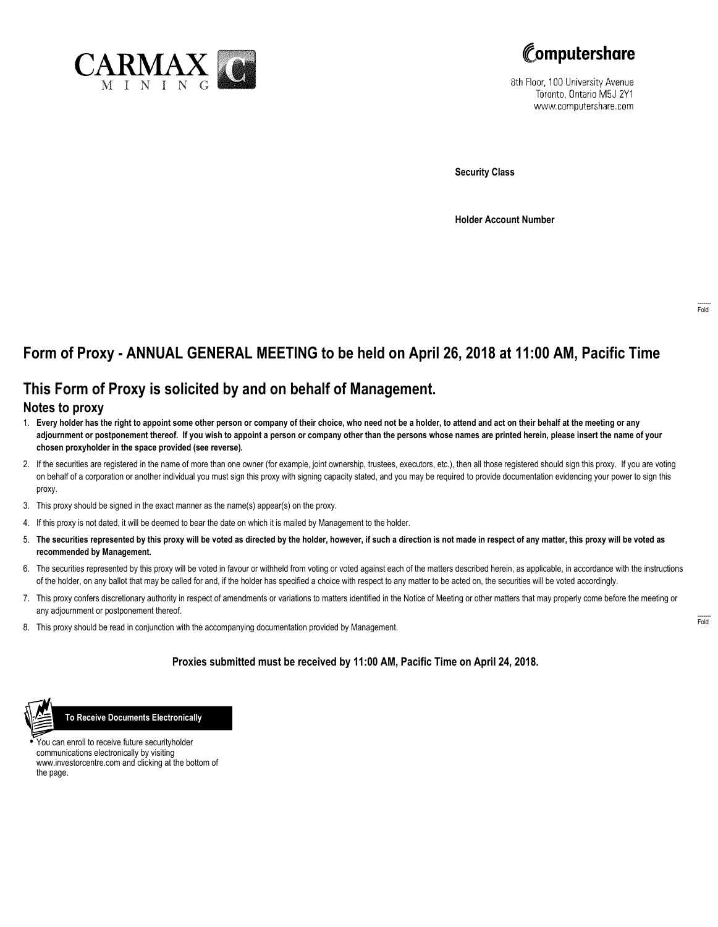



8th Floor, 100 University Avenue Toronto, Ontario M5J 2Y1 www.computershare.com

**Security Class**

**Holder Account Number**

# **Form of Proxy - ANNUAL GENERAL MEETING to be held on April 26, 2018 at 11:00 AM, Pacific Time**

### **This Form of Proxy is solicited by and on behalf of Management.**

#### **Notes to proxy**

- 1. **Every holder has the right to appoint some other person or company of their choice, who need not be a holder, to attend and act on their behalf at the meeting or any adjournment or postponement thereof. If you wish to appoint a person or company other than the persons whose names are printed herein, please insert the name of your chosen proxyholder in the space provided (see reverse).**
- 2. If the securities are registered in the name of more than one owner (for example, joint ownership, trustees, executors, etc.), then all those registered should sign this proxy. If you are voting on behalf of a corporation or another individual you must sign this proxy with signing capacity stated, and you may be required to provide documentation evidencing your power to sign this proxy.
- 3. This proxy should be signed in the exact manner as the name(s) appear(s) on the proxy.
- 4. If this proxy is not dated, it will be deemed to bear the date on which it is mailed by Management to the holder.
- 5. **The securities represented by this proxy will be voted as directed by the holder, however, if such a direction is not made in respect of any matter, this proxy will be voted as recommended by Management.**
- 6. The securities represented by this proxy will be voted in favour or withheld from voting or voted against each of the matters described herein, as applicable, in accordance with the instructions of the holder, on any ballot that may be called for and, if the holder has specified a choice with respect to any matter to be acted on, the securities will be voted accordingly.
- 7. This proxy confers discretionary authority in respect of amendments or variations to matters identified in the Notice of Meeting or other matters that may properly come before the meeting or any adjournment or postponement thereof.
- 8. This proxy should be read in conjunction with the accompanying documentation provided by Management.

#### **Proxies submitted must be received by 11:00 AM, Pacific Time on April 24, 2018.**



 **To Receive Documents Electronically**

**•** You can enroll to receive future securityholder communications electronically by visiting www.investorcentre.com and clicking at the bottom of the page.